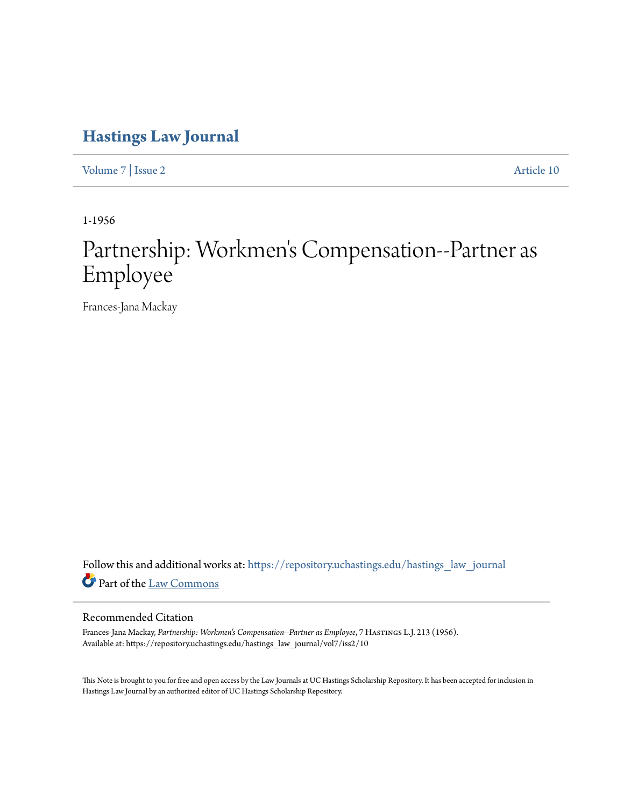## **[Hastings Law Journal](https://repository.uchastings.edu/hastings_law_journal?utm_source=repository.uchastings.edu%2Fhastings_law_journal%2Fvol7%2Fiss2%2F10&utm_medium=PDF&utm_campaign=PDFCoverPages)**

[Volume 7](https://repository.uchastings.edu/hastings_law_journal/vol7?utm_source=repository.uchastings.edu%2Fhastings_law_journal%2Fvol7%2Fiss2%2F10&utm_medium=PDF&utm_campaign=PDFCoverPages) | [Issue 2](https://repository.uchastings.edu/hastings_law_journal/vol7/iss2?utm_source=repository.uchastings.edu%2Fhastings_law_journal%2Fvol7%2Fiss2%2F10&utm_medium=PDF&utm_campaign=PDFCoverPages) [Article 10](https://repository.uchastings.edu/hastings_law_journal/vol7/iss2/10?utm_source=repository.uchastings.edu%2Fhastings_law_journal%2Fvol7%2Fiss2%2F10&utm_medium=PDF&utm_campaign=PDFCoverPages)

1-1956

## Partnership: Workmen 's Compensation--Partner as Employee

Frances-Jana Mackay

Follow this and additional works at: [https://repository.uchastings.edu/hastings\\_law\\_journal](https://repository.uchastings.edu/hastings_law_journal?utm_source=repository.uchastings.edu%2Fhastings_law_journal%2Fvol7%2Fiss2%2F10&utm_medium=PDF&utm_campaign=PDFCoverPages) Part of the [Law Commons](http://network.bepress.com/hgg/discipline/578?utm_source=repository.uchastings.edu%2Fhastings_law_journal%2Fvol7%2Fiss2%2F10&utm_medium=PDF&utm_campaign=PDFCoverPages)

## Recommended Citation

Frances-Jana Mackay, *Partnership: Workmen's Compensation--Partner as Employee*, 7 Hastings L.J. 213 (1956). Available at: https://repository.uchastings.edu/hastings\_law\_journal/vol7/iss2/10

This Note is brought to you for free and open access by the Law Journals at UC Hastings Scholarship Repository. It has been accepted for inclusion in Hastings Law Journal by an authorized editor of UC Hastings Scholarship Repository.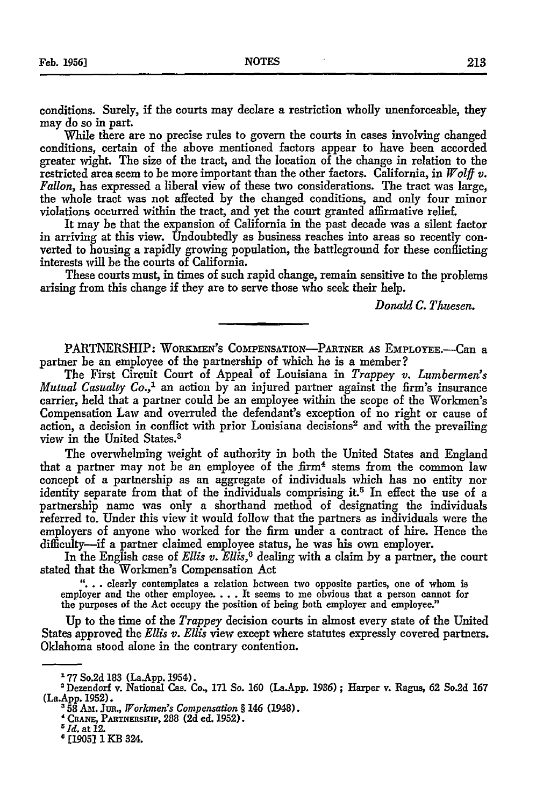conditions. Surely, if the courts may declare a restriction wholly unenforceable, they may do so in part.

While there are no precise rules to govern the courts in cases involving changed conditions, certain of the above mentioned factors appear to have been accorded greater wight. The size of the tract, and the location of the change in relation to the restricted area seem to be more important than the other factors. California, in *Wolff v. Fallon,* has expressed a liberal view of these two considerations. The tract was large, the whole tract was not affected by the changed conditions, and only four minor violations occurred within the tract, and yet the court granted affirmative relief.

It may be that the expansion of California in the past decade was a silent factor in arriving at this view. Undoubtedly as business reaches into areas so recently converted to housing a rapidly growing population, the battleground for these conflicting interests will be the courts of California.

These courts must, in times of such rapid change, remain sensitive to the problems arising from this change if they are to serve those who seek their help.

*Donald C. Thuesen.*

PARTNERSHIP: WORKMEN'S COMPENSATION-PARTNER AS EMPLOYEE.--Can a partner be an employee of the partnership of which he is a member?

The First Circuit Court of Appeal of Louisiana in *Trappey v. Lumbermen's Mutual Casualty Co.,'* an action by an injured partner against the firm's insurance carrier, held that a partner could be an employee within the scope of the Workmen's Compensation Law and overruled the defendant's exception of no right or cause of action, a decision in conflict with prior Louisiana decisions<sup>2</sup> and with the prevailing view in the United States.<sup>3</sup>

The overwhelming weight of authority in both the United States and England that a partner may not be an employee of the firm<sup>4</sup> stems from the common law concept of a partnership as an aggregate of individuals which has no entity nor identity separate from that of the individuals comprising it.<sup>5</sup> In effect the use of a partnership name was only a shorthand method of designating the individuals referred to. Under this view it would follow that the partners as individuals were the employers of anyone who worked for the firm under a contract of hire. Hence the difficulty-if a partner claimed employee status, he was his own employer.

In the English case of *Ellis v. Ellis,6* dealing with a claim by a partner, the court stated that the Workmen's Compensation Act

**"...** clearly contemplates a relation between two opposite parties, one of whom is employer and the other employee **....** It seems to me obvious that a person cannot for the purposes of the Act occupy the position of being both employer and employee."

Up to the time of the *Trappey* decision courts in almost every state of the United States approved the *Ellis v. Ellis* view except where statutes expressly covered partners. Oklahoma stood alone in the contrary contention.

**<sup>158</sup>**Ai. Jua., *Workmen's Compensation §* 146 (1948). **'CRANE,** PARTNersui', **288 (2d** ed. **1952).**

**<sup>1</sup> 77** So.2d 183 (La.App. 1954).

<sup>&#</sup>x27;Dezendorf v. National Cas. Co., **171** So. **160** (LaApp. **1936)** ; Harper v. Ragus, **62** So.2d **167** (La.App. **1952).**

*rId.* at 12.

**<sup>6</sup> [1905] 1** KB 324.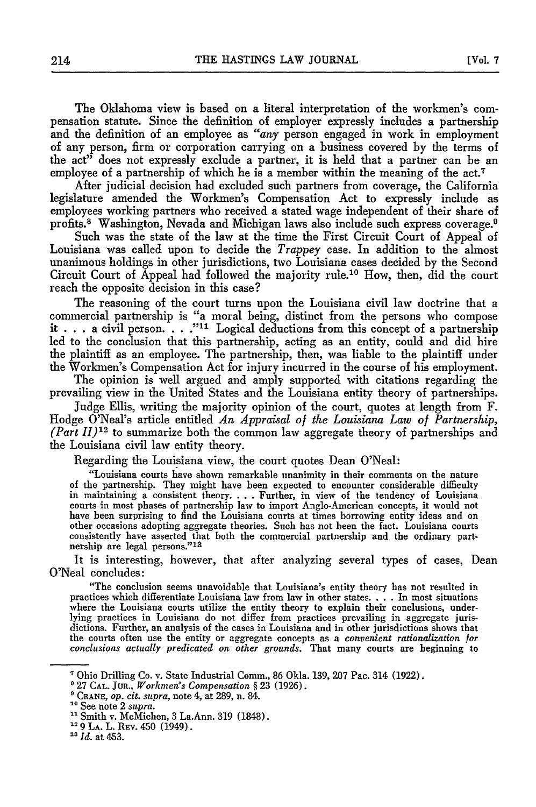The Oklahoma view is based on a literal interpretation of the workmen's compensation statute. Since the definition of employer expressly includes a partnership and the definition of an employee as *"any* person engaged in work in employment of any person, firm or corporation carrying on a business covered by the terms of the act<sup>3</sup> does not expressly exclude a partner, it is held that a partner can be an employee of a partnership of which he is a member within the meaning of the act.<sup>7</sup>

After judicial decision had excluded such partners from coverage, the California legislature amended the Workmen's Compensation Act to expressly include as employees working partners who received a stated wage independent of their share of profits.8 Washington, Nevada and Michigan laws also include such express coverage. <sup>9</sup>

Such was the state of the law at the time the First Circuit Court of Appeal of Louisiana was called upon to decide the *Trappey* case. In addition to the almost unanimous holdings in other jurisdictions, two Louisiana cases decided by the Second Circuit Court of Appeal had followed the majority rule.10 How, then, did the court reach the opposite decision in this case?

The reasoning of the court turns upon the Louisiana civil law doctrine that a commercial partnership is "a moral being, distinct from the persons who compose it . . . a civil person. **. "."."11** Logical deductions from this concept of a partnership led to the conclusion that this partnership, acting as an entity, could and did hire the plaintiff as an employee. The partnership, then, was liable to the plaintiff under the Workmen's Compensation Act for injury incurred in the course of his employment.

The opinion is well argued and amply supported with citations regarding the prevailing view in the United States and the Louisiana entity theory of partnerships.

Judge Ellis, writing the majority opinion of the court, quotes at length from F. Hodge O'Neal's article entitled *An Appraisal of the Louisiana Law of Partnership, (Part* **11)12** to summarize both the common law aggregate theory of partnerships and the Louisiana civil law entity theory.

Regarding the Louisiana view, the court quotes Dean O'Neal:

"Louisiana courts have shown remarkable unanimity in their comments on the nature of the partnership. They might have been expected to encounter considerable difficulty in maintaining a consistent theory. . . . Further, in view of the tendency of Louisiana courts in most phases of partnership law to import Anglo-American concepts, it would not have been surprising to find the Louisiana courts at times borrowing entity ideas and on other occasions adopting aggregate theories. Such has not been the fact. Louisiana courts consistently have asserted that both the commercial partnership and the ordinary partnership are legal persons."13

It is interesting, however, that after analyzing several types of cases, Dean O'Neal concludes:

"The conclusion seems unavoidable that Louisiana's entity theory has not resulted in practices which differentiate Louisiana law from law in other states. **.-. .** In most situations where the Louisiana courts utilize the entity theory to explain their conclusions, underlying practices in Louisiana do not differ from practices prevailing in aggregate jurisdictions. Further, an analysis of the cases in Louisiana and in other jurisdictions shows that the courts often use the entity or aggregate concepts as a convenient *rationalization for conclusions actually predicated on other grounds.* That many courts are beginning to

Ohio Drilling Co. v. State Industrial Comm., 86 Okla. 139, 207 Pac. 314 (1922).

<sup>&#</sup>x27;27 **CAL.** JUR., *Workmen's Compensation §* 23 (1926).

**<sup>&#</sup>x27;CRANE,** *op. cit. supra,* note 4, at 289, n. 84.

**<sup>0</sup>**See note 2 *supra.*

**<sup>11</sup>**Smith v. McMichen, 3 La.Ann. 319 (1848).

<sup>&#</sup>x27;2 **9 LA.** L. REv. 450 (1949).

<sup>&</sup>lt;sup>13</sup> *Id.* at 453.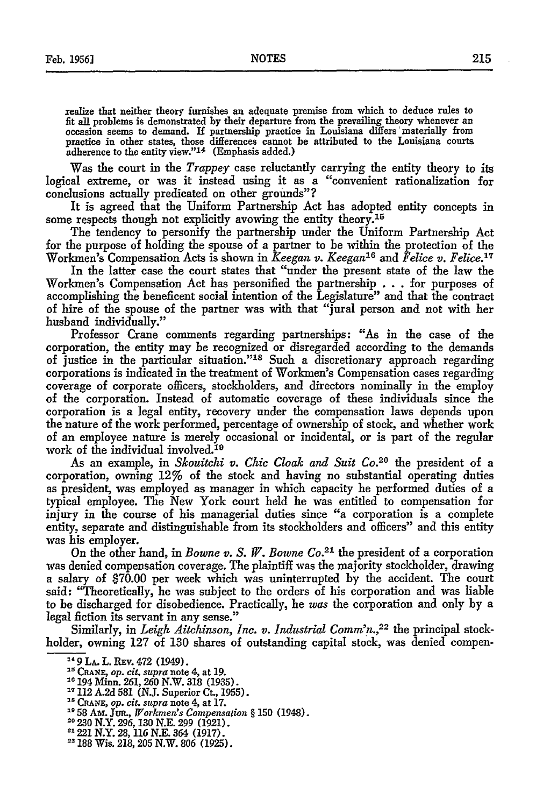realize that neither theory furnishes an adequate premise from which to deduce rules to fit all problems is demonstrated by their departure from the prevailing theory whenever an occasion seems to demand. If partnership practice in Louisiana differs'materially from practice in other states, those differences cannot be attributed to the Louisiana courts adherence to the entity view."<sup>14</sup> (Emphasis added.)

Was the court in the *Trappey* case reluctantly carrying the entity theory to its logical extreme, or was it instead using it as a "convenient rationalization for conclusions actually predicated on other grounds"?

It is agreed that the Uniform Partnership Act has adopted entity concepts in some respects though not explicitly avowing the entity theory.<sup>15</sup>

The tendency to personify the partnership under the Uniform Partnership Act for the purpose of holding the spouse of a partner to be within the protection of the Workmen's Compensation Acts is shown in *Keegan v. Keegan"6 and Felice v. Felice.17*

In the latter case the court states that "under the present state of the law the Workmen's Compensation Act has personified the partnership . **. .** for purposes of accomplishing the beneficent social intention of the Legislature" and that the contrac of hire of the spouse of the partner was with that "jural person and not with her husband individually."

Professor Crane comments regarding partnerships: "As in the case of the corporation, the entity may be recognized or disregarded according to the demands of justice in the particular situation."<sup>18</sup> Such a discretionary approach regarding corporations is indicated in the treatment of Workmen's Compensation cases regarding coverage of corporate officers, stockholders, and directors nominally in the employ of the corporation. Instead of automatic coverage of these individuals since the corporation is a legal entity, recovery under the compensation laws depends upon the nature of the work performed, percentage of ownership of stock, and whether work of an employee nature is merely occasional or incidental, or is part of the regular work of the individual involved.<sup>19</sup>

As an example, in *Skouitchi v. Chic Cloak and Suit Co.*<sup>20</sup> the president of a corporation, owning 12% of the stock and having no substantial operating duties as president, was employed as manager in which capacity he performed duties of a typical employee. The New York court held he was entitled to compensation for injury in the course of his managerial duties since "a corporation is a complete entity, separate and distinguishable from its stockholders and officers" and this entity was his employer.

On the other hand, in *Bowne v. S. W. Bowne Co. <sup>21</sup>*the president of a corporation was denied compensation coverage. The plaintiff was the majority stockholder, drawing a salary of \$70.00 per week which was uninterrupted by the accident. The court said: "Theoretically, he was subject to the orders of his corporation and was liable to be discharged for disobedience. Practically, he *was* the corporation and only by a legal fiction its servant in any sense."

Similarly, in *Leigh Aitchinson, Inc. v. Industrial Comm'n.,22* the principal stockholder, owning 127 of 130 shares of outstanding capital stock, was denied compen-

" **CRANE,** *op. cit. supra* note 4, at **19.**

- 
- **1958 Am.** JuR., *Workmen's Compensation §* 150 (1948).
- **20 230** N.Y. 296, 130 N.E. 299 (1921).
- <sup>21</sup> 221 N.Y. 28, 116 N.E. 364 (1917).
- <sup>22</sup> 188 Wis. 218, 205 N.W. 806 (1925).

<sup>&</sup>lt;sup>14</sup> 9 LA. L. REV. 472 (1949).

<sup>&</sup>lt;sup>16</sup> 194 Minn. 261, 260 N.W. 318 (1935).<br><sup>17</sup> 112 A.2d 581 (N.J. Superior Ct., 1955).

**<sup>&#</sup>x27;s CRANE,** *op. cit. supra* note 4, at 17.